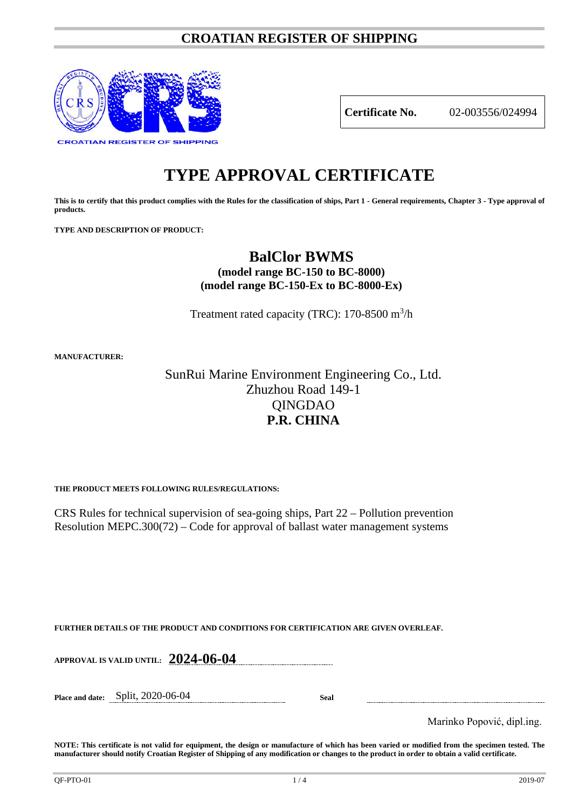## **CROATIAN REGISTER OF SHIPPING**



**Certificate No.** 02-003556/024994

# **TYPE APPROVAL CERTIFICATE**

**This is to certify that this product complies with the Rules for the classification of ships, Part 1 - General requirements, Chapter 3 - Type approval of products.**

**TYPE AND DESCRIPTION OF PRODUCT:** 

## **BalClor BWMS**

**(model range BC-150 to BC-8000) (model range BC-150-Ex to BC-8000-Ex)**

Treatment rated capacity (TRC):  $170-8500$  m<sup>3</sup>/h

**MANUFACTURER:**

## SunRui Marine Environment Engineering Co., Ltd. Zhuzhou Road 149-1 QINGDAO **P.R. CHINA**

**THE PRODUCT MEETS FOLLOWING RULES/REGULATIONS:**

CRS Rules for technical supervision of sea-going ships, Part 22 – Pollution prevention Resolution MEPC.300(72) – Code for approval of ballast water management systems

**FURTHER DETAILS OF THE PRODUCT AND CONDITIONS FOR CERTIFICATION ARE GIVEN OVERLEAF.**

**APPROVAL IS VALID UNTIL: 2024-06-04**

**Place and date:** Split, 2020-06-04 **Seal**

Marinko Popović, dipl.ing.

**NOTE: This certificate is not valid for equipment, the design or manufacture of which has been varied or modified from the specimen tested. The manufacturer should notify Croatian Register of Shipping of any modification or changes to the product in order to obtain a valid certificate.**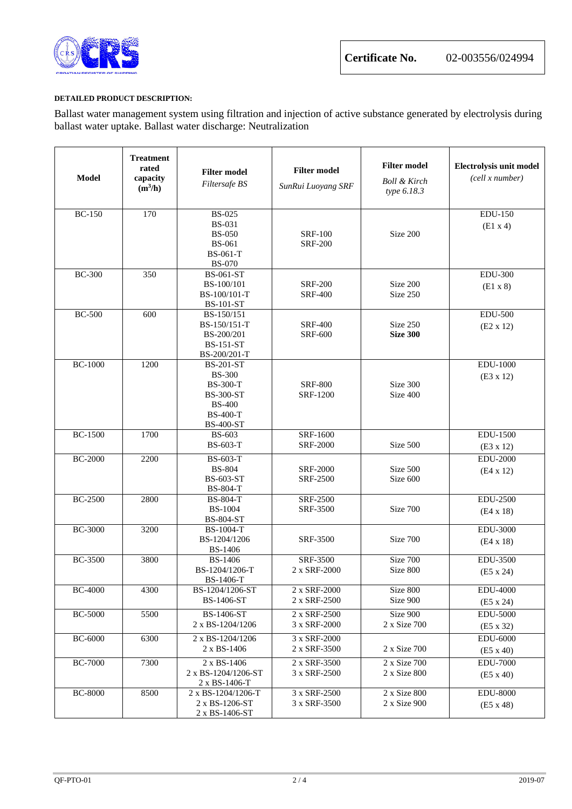

### **DETAILED PRODUCT DESCRIPTION:**

Ballast water management system using filtration and injection of active substance generated by electrolysis during ballast water uptake. Ballast water discharge: Neutralization

| <b>Model</b>   | <b>Treatment</b><br>rated<br>capacity<br>$(m^3/h)$ | <b>Filter model</b><br>Filtersafe BS                                                                                             | <b>Filter model</b><br>SunRui Luoyang SRF | <b>Filter model</b><br><b>Boll &amp; Kirch</b><br>type 6.18.3 | Electrolysis unit model<br>(cell x number) |
|----------------|----------------------------------------------------|----------------------------------------------------------------------------------------------------------------------------------|-------------------------------------------|---------------------------------------------------------------|--------------------------------------------|
| <b>BC-150</b>  | 170                                                | <b>BS-025</b><br><b>BS-031</b><br><b>BS-050</b><br><b>BS-061</b><br><b>BS-061-T</b><br><b>BS-070</b>                             | <b>SRF-100</b><br><b>SRF-200</b>          | Size 200                                                      | <b>EDU-150</b><br>(E1 x 4)                 |
| <b>BC-300</b>  | 350                                                | <b>BS-061-ST</b><br>BS-100/101<br>BS-100/101-T<br><b>BS-101-ST</b>                                                               | <b>SRF-200</b><br><b>SRF-400</b>          | Size 200<br>Size 250                                          | <b>EDU-300</b><br>$(E1 \times 8)$          |
| <b>BC-500</b>  | 600                                                | BS-150/151<br>BS-150/151-T<br>BS-200/201<br><b>BS-151-ST</b><br>BS-200/201-T                                                     | <b>SRF-400</b><br><b>SRF-600</b>          | Size 250<br><b>Size 300</b>                                   | <b>EDU-500</b><br>$(E2 \times 12)$         |
| <b>BC-1000</b> | 1200                                               | <b>BS-201-ST</b><br><b>BS-300</b><br><b>BS-300-T</b><br><b>BS-300-ST</b><br><b>BS-400</b><br><b>BS-400-T</b><br><b>BS-400-ST</b> | <b>SRF-800</b><br>SRF-1200                | Size 300<br>Size 400                                          | <b>EDU-1000</b><br>(E3 x 12)               |
| <b>BC-1500</b> | 1700                                               | <b>BS-603</b><br>BS-603-T                                                                                                        | SRF-1600<br><b>SRF-2000</b>               | Size 500                                                      | EDU-1500<br>(E3 x 12)                      |
| <b>BC-2000</b> | 2200                                               | BS-603-T<br><b>BS-804</b><br><b>BS-603-ST</b><br><b>BS-804-T</b>                                                                 | <b>SRF-2000</b><br><b>SRF-2500</b>        | Size 500<br>Size 600                                          | <b>EDU-2000</b><br>$(E4 \times 12)$        |
| <b>BC-2500</b> | 2800                                               | <b>BS-804-T</b><br><b>BS-1004</b><br><b>BS-804-ST</b>                                                                            | <b>SRF-2500</b><br>SRF-3500               | Size 700                                                      | <b>EDU-2500</b><br>$(E4 \times 18)$        |
| <b>BC-3000</b> | 3200                                               | BS-1004-T<br>BS-1204/1206<br><b>BS-1406</b>                                                                                      | SRF-3500                                  | Size 700                                                      | <b>EDU-3000</b><br>$(E4 \times 18)$        |
| <b>BC-3500</b> | 3800                                               | <b>BS-1406</b><br>BS-1204/1206-T<br>BS-1406-T                                                                                    | SRF-3500<br>2 x SRF-2000                  | Size 700<br>Size 800                                          | EDU-3500<br>$(E5 \times 24)$               |
| <b>BC-4000</b> | 4300                                               | BS-1204/1206-ST<br><b>BS-1406-ST</b>                                                                                             | 2 x SRF-2000<br>2 x SRF-2500              | Size 800<br>Size 900                                          | <b>EDU-4000</b><br>$(E5 \times 24)$        |
| <b>BC-5000</b> | 5500                                               | BS-1406-ST<br>2 x BS-1204/1206                                                                                                   | 2 x SRF-2500<br>3 x SRF-2000              | Size 900<br>2 x Size 700                                      | <b>EDU-5000</b><br>$(E5 \times 32)$        |
| <b>BC-6000</b> | 6300                                               | 2 x BS-1204/1206<br>2 x BS-1406                                                                                                  | 3 x SRF-2000<br>2 x SRF-3500              | 2 x Size 700                                                  | <b>EDU-6000</b><br>$(E5 \times 40)$        |
| <b>BC-7000</b> | 7300                                               | 2 x BS-1406<br>2 x BS-1204/1206-ST<br>$2 \times BS-1406-T$                                                                       | 2 x SRF-3500<br>3 x SRF-2500              | 2 x Size 700<br>2 x Size 800                                  | <b>EDU-7000</b><br>$(E5 \times 40)$        |
| <b>BC-8000</b> | 8500                                               | 2 x BS-1204/1206-T<br>2 x BS-1206-ST<br>2 x BS-1406-ST                                                                           | 3 x SRF-2500<br>3 x SRF-3500              | 2 x Size 800<br>2 x Size 900                                  | <b>EDU-8000</b><br>$(E5 \times 48)$        |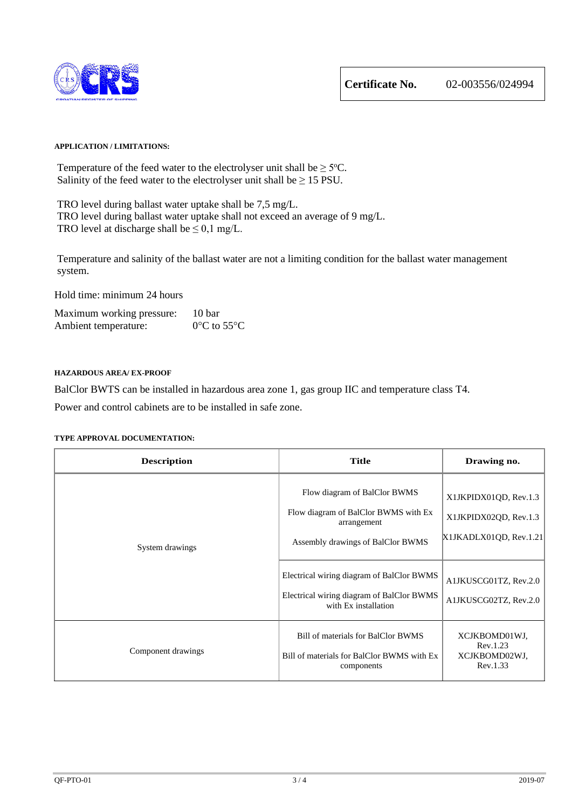

Temperature of the feed water to the electrolyser unit shall be  $\geq$  5°C. Salinity of the feed water to the electrolyser unit shall be  $\geq 15$  PSU.

TRO level during ballast water uptake shall be 7,5 mg/L. TRO level during ballast water uptake shall not exceed an average of 9 mg/L. TRO level at discharge shall be  $\leq 0.1$  mg/L.

Temperature and salinity of the ballast water are not a limiting condition for the ballast water management system.

Hold time: minimum 24 hours

| Maximum working pressure: | 10 bar                           |
|---------------------------|----------------------------------|
| Ambient temperature:      | $0^{\circ}$ C to 55 $^{\circ}$ C |

#### **HAZARDOUS AREA/ EX-PROOF**

BalClor BWTS can be installed in hazardous area zone 1, gas group IIC and temperature class T4.

Power and control cabinets are to be installed in safe zone.

| <b>Description</b> | <b>Title</b>                                                                                                                                                                                                                               | Drawing no.                                                                                                                |
|--------------------|--------------------------------------------------------------------------------------------------------------------------------------------------------------------------------------------------------------------------------------------|----------------------------------------------------------------------------------------------------------------------------|
| System drawings    | Flow diagram of BalClor BWMS<br>Flow diagram of BalClor BWMS with Ex<br>arrangement<br>Assembly drawings of BalClor BWMS<br>Electrical wiring diagram of BalClor BWMS<br>Electrical wiring diagram of BalClor BWMS<br>with Ex installation | X1JKPIDX01QD, Rev.1.3<br>X1JKPIDX02QD, Rev.1.3<br>X1JKADLX01QD, Rev.1.21<br>A1JKUSCG01TZ, Rev.2.0<br>A1JKUSCG02TZ, Rev.2.0 |
| Component drawings | Bill of materials for BalClor BWMS<br>Bill of materials for BalClor BWMS with Ex<br>components                                                                                                                                             | XCJKBOMD01WJ,<br>Rev.1.23<br>XCJKBOMD02WJ,<br>Rev.1.33                                                                     |

### **TYPE APPROVAL DOCUMENTATION:**